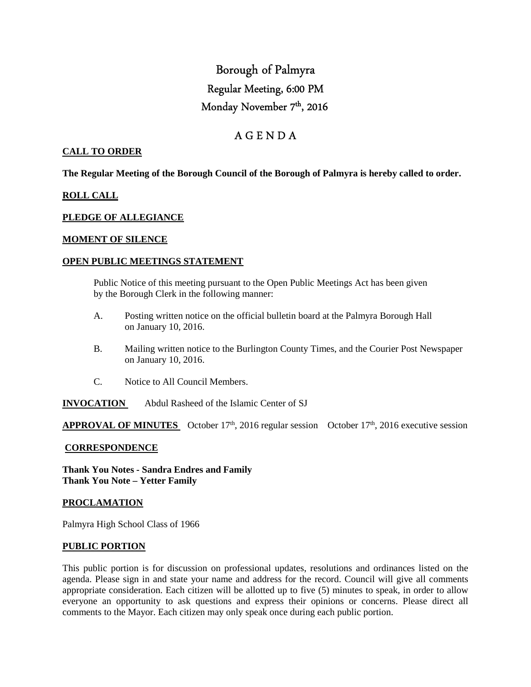# Borough of Palmyra Regular Meeting, 6:00 PM Monday November 7<sup>th</sup>, 2016

## A G E N D A

#### **CALL TO ORDER**

**The Regular Meeting of the Borough Council of the Borough of Palmyra is hereby called to order.** 

#### **ROLL CALL**

#### **PLEDGE OF ALLEGIANCE**

#### **MOMENT OF SILENCE**

#### **OPEN PUBLIC MEETINGS STATEMENT**

 Public Notice of this meeting pursuant to the Open Public Meetings Act has been given by the Borough Clerk in the following manner:

- A. Posting written notice on the official bulletin board at the Palmyra Borough Hall on January 10, 2016.
- B. Mailing written notice to the Burlington County Times, and the Courier Post Newspaper on January 10, 2016.
- C. Notice to All Council Members.
- **INVOCATION** Abdul Rasheed of the Islamic Center of SJ

**APPROVAL OF MINUTES** October  $17<sup>th</sup>$ , 2016 regular session October  $17<sup>th</sup>$ , 2016 executive session

#### **CORRESPONDENCE**

**Thank You Notes - Sandra Endres and Family Thank You Note – Yetter Family** 

#### **PROCLAMATION**

Palmyra High School Class of 1966

#### **PUBLIC PORTION**

This public portion is for discussion on professional updates, resolutions and ordinances listed on the agenda. Please sign in and state your name and address for the record. Council will give all comments appropriate consideration. Each citizen will be allotted up to five (5) minutes to speak, in order to allow everyone an opportunity to ask questions and express their opinions or concerns. Please direct all comments to the Mayor. Each citizen may only speak once during each public portion.